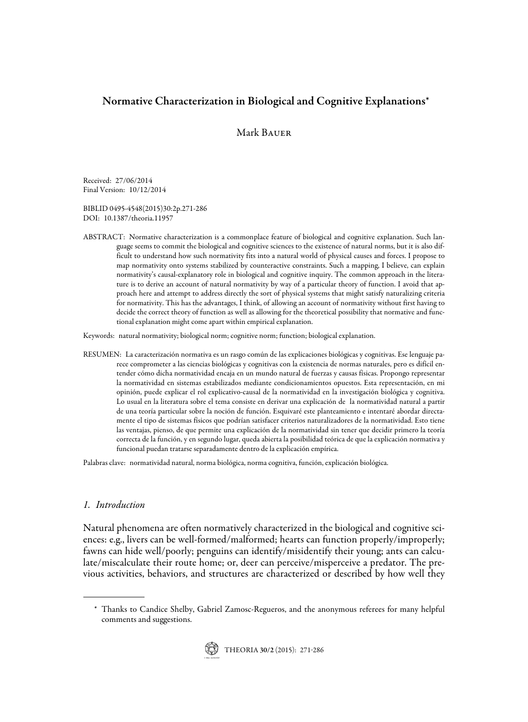# Normative Characterization in Biological and Cognitive Explanations\*

## Mark Bauer

Received: 27/06/2014 Final Version: 10/12/2014

BIBLID 0495-4548(2015)30:2p.271-286 DOI: 10.1387/theoria.11957

ABSTRACT: Normative characterization is a commonplace feature of biological and cognitive explanation. Such language seems to commit the biological and cognitive sciences to the existence of natural norms, but it is also difficult to understand how such normativity fits into a natural world of physical causes and forces. I propose to map normativity onto systems stabilized by counteractive constraints. Such a mapping, I believe, can explain normativity's causal-explanatory role in biological and cognitive inquiry. The common approach in the literature is to derive an account of natural normativity by way of a particular theory of function. I avoid that approach here and attempt to address directly the sort of physical systems that might satisfy naturalizing criteria for normativity. This has the advantages, I think, of allowing an account of normativity without first having to decide the correct theory of function as well as allowing for the theoretical possibility that normative and functional explanation might come apart within empirical explanation.

Keywords: natural normativity; biological norm; cognitive norm; function; biological explanation.

RESUMEN: La caracterización normativa es un rasgo común de las explicaciones biológicas y cognitivas. Ese lenguaje parece comprometer a las ciencias biológicas y cognitivas con la existencia de normas naturales, pero es difícil entender cómo dicha normatividad encaja en un mundo natural de fuerzas y causas físicas. Propongo representar la normatividad en sistemas estabilizados mediante condicionamientos opuestos. Esta representación, en mi opinión, puede explicar el rol explicativo-causal de la normatividad en la investigación biológica y cognitiva. Lo usual en la literatura sobre el tema consiste en derivar una explicación de la normatividad natural a partir de una teoría particular sobre la noción de función. Esquivaré este planteamiento e intentaré abordar directamente el tipo de sistemas físicos que podrían satisfacer criterios naturalizadores de la normatividad. Esto tiene las ventajas, pienso, de que permite una explicación de la normatividad sin tener que decidir primero la teoría correcta de la función, y en segundo lugar, queda abierta la posibilidad teórica de que la explicación normativa y funcional puedan tratarse separadamente dentro de la explicación empírica.

Palabras clave: normatividad natural, norma biológica, norma cognitiva, función, explicación biológica.

## 1. Introduction

Natural phenomena are often normatively characterized in the biological and cognitive sciences: e.g., livers can be well-formed/malformed; hearts can function properly/improperly; fawns can hide well/poorly; penguins can identify/misidentify their young; ants can calculate/miscalculate their route home; or, deer can perceive/misperceive a predator. The previous activities, behaviors, and structures are characterized or described by how well they

<sup>\*</sup> Thanks to Candice Shelby, Gabriel Zamosc-Regueros, and the anonymous referees for many helpful comments and suggestions.

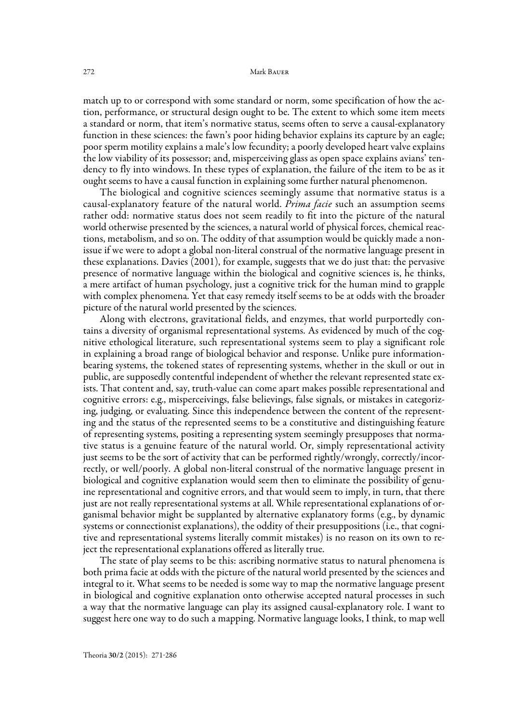#### 272 Mark Bauer

match up to or correspond with some standard or norm, some specification of how the action, performance, or structural design ought to be. The extent to which some item meets a standard or norm, that item's normative status, seems often to serve a causal-explanatory function in these sciences: the fawn's poor hiding behavior explains its capture by an eagle; poor sperm motility explains a male's low fecundity; a poorly developed heart valve explains the low viability of its possessor; and, misperceiving glass as open space explains avians' tendency to fly into windows. In these types of explanation, the failure of the item to be as it ought seems to have a causal function in explaining some further natural phenomenon.

The biological and cognitive sciences seemingly assume that normative status is a causal-explanatory feature of the natural world. *Prima facie* such an assumption seems rather odd: normative status does not seem readily to fit into the picture of the natural world otherwise presented by the sciences, a natural world of physical forces, chemical reactions, metabolism, and so on. The oddity of that assumption would be quickly made a nonissue if we were to adopt a global non-literal construal of the normative language present in these explanations. Davies (2001), for example, suggests that we do just that: the pervasive presence of normative language within the biological and cognitive sciences is, he thinks, a mere artifact of human psychology, just a cognitive trick for the human mind to grapple with complex phenomena. Yet that easy remedy itself seems to be at odds with the broader picture of the natural world presented by the sciences.

Along with electrons, gravitational fields, and enzymes, that world purportedly contains a diversity of organismal representational systems. As evidenced by much of the cognitive ethological literature, such representational systems seem to play a significant role in explaining a broad range of biological behavior and response. Unlike pure informationbearing systems, the tokened states of representing systems, whether in the skull or out in public, are supposedly contentful independent of whether the relevant represented state exists. That content and, say, truth-value can come apart makes possible representational and cognitive errors: e.g., misperceivings, false believings, false signals, or mistakes in categorizing, judging, or evaluating. Since this independence between the content of the representing and the status of the represented seems to be a constitutive and distinguishing feature of representing systems, positing a representing system seemingly presupposes that normative status is a genuine feature of the natural world. Or, simply representational activity just seems to be the sort of activity that can be performed rightly/wrongly, correctly/incorrectly, or well/poorly. A global non-literal construal of the normative language present in biological and cognitive explanation would seem then to eliminate the possibility of genuine representational and cognitive errors, and that would seem to imply, in turn, that there just are not really representational systems at all. While representational explanations of organismal behavior might be supplanted by alternative explanatory forms (e.g., by dynamic systems or connectionist explanations), the oddity of their presuppositions (i.e., that cognitive and representational systems literally commit mistakes) is no reason on its own to reject the representational explanations offered as literally true.

The state of play seems to be this: ascribing normative status to natural phenomena is both prima facie at odds with the picture of the natural world presented by the sciences and integral to it. What seems to be needed is some way to map the normative language present in biological and cognitive explanation onto otherwise accepted natural processes in such a way that the normative language can play its assigned causal-explanatory role. I want to suggest here one way to do such a mapping. Normative language looks, I think, to map well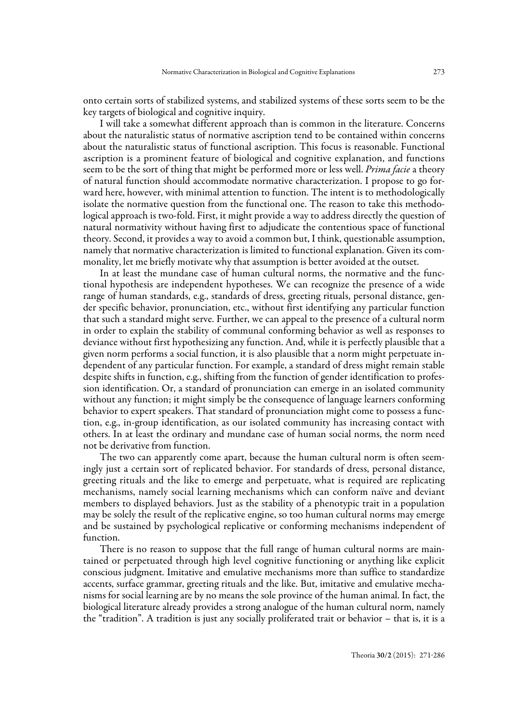onto certain sorts of stabilized systems, and stabilized systems of these sorts seem to be the key targets of biological and cognitive inquiry.

I will take a somewhat different approach than is common in the literature. Concerns about the naturalistic status of normative ascription tend to be contained within concerns about the naturalistic status of functional ascription. This focus is reasonable. Functional ascription is a prominent feature of biological and cognitive explanation, and functions seem to be the sort of thing that might be performed more or less well. *Prima facie* a theory of natural function should accommodate normative characterization. I propose to go forward here, however, with minimal attention to function. The intent is to methodologically isolate the normative question from the functional one. The reason to take this methodological approach is two-fold. First, it might provide a way to address directly the question of natural normativity without having first to adjudicate the contentious space of functional theory. Second, it provides a way to avoid a common but, I think, questionable assumption, namely that normative characterization is limited to functional explanation. Given its commonality, let me briefly motivate why that assumption is better avoided at the outset.

In at least the mundane case of human cultural norms, the normative and the functional hypothesis are independent hypotheses. We can recognize the presence of a wide range of human standards, e.g., standards of dress, greeting rituals, personal distance, gender specific behavior, pronunciation, etc., without first identifying any particular function that such a standard might serve. Further, we can appeal to the presence of a cultural norm in order to explain the stability of communal conforming behavior as well as responses to deviance without first hypothesizing any function. And, while it is perfectly plausible that a given norm performs a social function, it is also plausible that a norm might perpetuate independent of any particular function. For example, a standard of dress might remain stable despite shifts in function, e.g., shifting from the function of gender identification to profession identification. Or, a standard of pronunciation can emerge in an isolated community without any function; it might simply be the consequence of language learners conforming behavior to expert speakers. That standard of pronunciation might come to possess a function, e.g., in-group identification, as our isolated community has increasing contact with others. In at least the ordinary and mundane case of human social norms, the norm need not be derivative from function.

The two can apparently come apart, because the human cultural norm is often seemingly just a certain sort of replicated behavior. For standards of dress, personal distance, greeting rituals and the like to emerge and perpetuate, what is required are replicating mechanisms, namely social learning mechanisms which can conform naïve and deviant members to displayed behaviors. Just as the stability of a phenotypic trait in a population may be solely the result of the replicative engine, so too human cultural norms may emerge and be sustained by psychological replicative or conforming mechanisms independent of function.

There is no reason to suppose that the full range of human cultural norms are maintained or perpetuated through high level cognitive functioning or anything like explicit conscious judgment. Imitative and emulative mechanisms more than suffice to standardize accents, surface grammar, greeting rituals and the like. But, imitative and emulative mechanisms for social learning are by no means the sole province of the human animal. In fact, the biological literature already provides a strong analogue of the human cultural norm, namely the "tradition". A tradition is just any socially proliferated trait or behavior – that is, it is a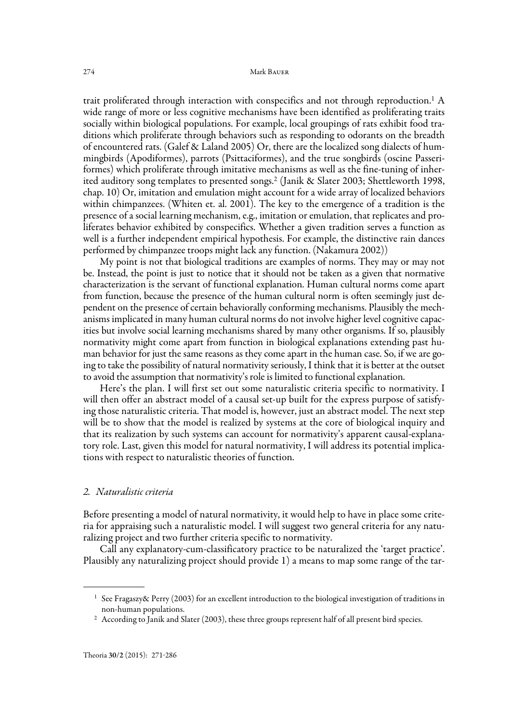trait proliferated through interaction with conspecifics and not through reproduction.<sup>1</sup> A wide range of more or less cognitive mechanisms have been identified as proliferating traits socially within biological populations. For example, local groupings of rats exhibit food traditions which proliferate through behaviors such as responding to odorants on the breadth of encountered rats. (Galef & Laland 2005) Or, there are the localized song dialects of hummingbirds (Apodiformes), parrots (Psittaciformes), and the true songbirds (oscine Passeriformes) which proliferate through imitative mechanisms as well as the fine-tuning of inherited auditory song templates to presented songs.2 (Janik & Slater 2003; Shettleworth 1998, chap. 10) Or, imitation and emulation might account for a wide array of localized behaviors within chimpanzees. (Whiten et. al. 2001). The key to the emergence of a tradition is the presence of a social learning mechanism, e.g., imitation or emulation, that replicates and proliferates behavior exhibited by conspecifics. Whether a given tradition serves a function as well is a further independent empirical hypothesis. For example, the distinctive rain dances performed by chimpanzee troops might lack any function. (Nakamura 2002))

My point is not that biological traditions are examples of norms. They may or may not be. Instead, the point is just to notice that it should not be taken as a given that normative characterization is the servant of functional explanation. Human cultural norms come apart from function, because the presence of the human cultural norm is often seemingly just dependent on the presence of certain behaviorally conforming mechanisms. Plausibly the mechanisms implicated in many human cultural norms do not involve higher level cognitive capacities but involve social learning mechanisms shared by many other organisms. If so, plausibly normativity might come apart from function in biological explanations extending past human behavior for just the same reasons as they come apart in the human case. So, if we are going to take the possibility of natural normativity seriously, I think that it is better at the outset to avoid the assumption that normativity's role is limited to functional explanation.

Here's the plan. I will first set out some naturalistic criteria specific to normativity. I will then offer an abstract model of a causal set-up built for the express purpose of satisfying those naturalistic criteria. That model is, however, just an abstract model. The next step will be to show that the model is realized by systems at the core of biological inquiry and that its realization by such systems can account for normativity's apparent causal-explanatory role. Last, given this model for natural normativity, I will address its potential implications with respect to naturalistic theories of function.

#### 2. Naturalistic criteria

Before presenting a model of natural normativity, it would help to have in place some criteria for appraising such a naturalistic model. I will suggest two general criteria for any naturalizing project and two further criteria specific to normativity.

Call any explanatory-cum-classificatory practice to be naturalized the 'target practice'. Plausibly any naturalizing project should provide 1) a means to map some range of the tar-

<sup>&</sup>lt;sup>1</sup> See Fragaszy& Perry (2003) for an excellent introduction to the biological investigation of traditions in non-human populations.

<sup>&</sup>lt;sup>2</sup> According to Janik and Slater (2003), these three groups represent half of all present bird species.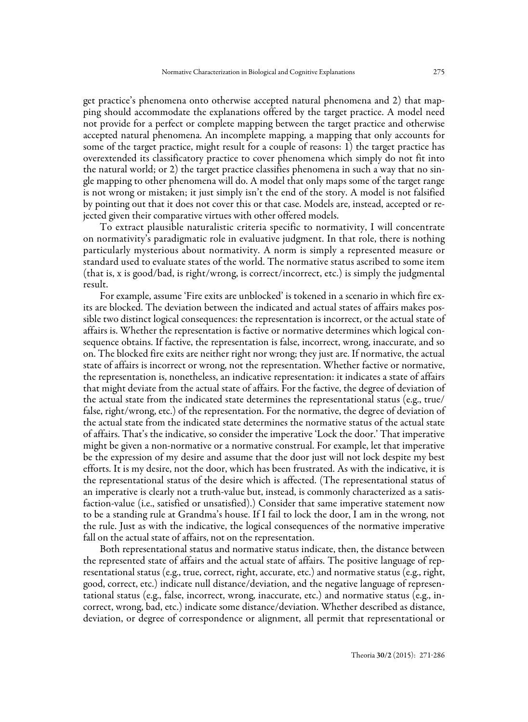get practice's phenomena onto otherwise accepted natural phenomena and 2) that mapping should accommodate the explanations offered by the target practice. A model need not provide for a perfect or complete mapping between the target practice and otherwise accepted natural phenomena. An incomplete mapping, a mapping that only accounts for some of the target practice, might result for a couple of reasons: 1) the target practice has overextended its classificatory practice to cover phenomena which simply do not fit into the natural world; or 2) the target practice classifies phenomena in such a way that no single mapping to other phenomena will do. A model that only maps some of the target range is not wrong or mistaken; it just simply isn't the end of the story. A model is not falsified by pointing out that it does not cover this or that case. Models are, instead, accepted or rejected given their comparative virtues with other offered models.

To extract plausible naturalistic criteria specific to normativity, I will concentrate on normativity's paradigmatic role in evaluative judgment. In that role, there is nothing particularly mysterious about normativity. A norm is simply a represented measure or standard used to evaluate states of the world. The normative status ascribed to some item (that is, x is good/bad, is right/wrong, is correct/incorrect, etc.) is simply the judgmental result.

For example, assume 'Fire exits are unblocked' is tokened in a scenario in which fire exits are blocked. The deviation between the indicated and actual states of affairs makes possible two distinct logical consequences: the representation is incorrect, or the actual state of affairs is. Whether the representation is factive or normative determines which logical consequence obtains. If factive, the representation is false, incorrect, wrong, inaccurate, and so on. The blocked fire exits are neither right nor wrong; they just are. If normative, the actual state of affairs is incorrect or wrong, not the representation. Whether factive or normative, the representation is, nonetheless, an indicative representation: it indicates a state of affairs that might deviate from the actual state of affairs. For the factive, the degree of deviation of the actual state from the indicated state determines the representational status (e.g., true/ false, right/wrong, etc.) of the representation. For the normative, the degree of deviation of the actual state from the indicated state determines the normative status of the actual state of affairs. That's the indicative, so consider the imperative 'Lock the door.' That imperative might be given a non-normative or a normative construal. For example, let that imperative be the expression of my desire and assume that the door just will not lock despite my best efforts. It is my desire, not the door, which has been frustrated. As with the indicative, it is the representational status of the desire which is affected. (The representational status of an imperative is clearly not a truth-value but, instead, is commonly characterized as a satisfaction-value (i.e., satisfied or unsatisfied).) Consider that same imperative statement now to be a standing rule at Grandma's house. If I fail to lock the door, I am in the wrong, not the rule. Just as with the indicative, the logical consequences of the normative imperative fall on the actual state of affairs, not on the representation.

Both representational status and normative status indicate, then, the distance between the represented state of affairs and the actual state of affairs. The positive language of representational status (e.g., true, correct, right, accurate, etc.) and normative status (e.g., right, good, correct, etc.) indicate null distance/deviation, and the negative language of representational status (e.g., false, incorrect, wrong, inaccurate, etc.) and normative status (e.g., incorrect, wrong, bad, etc.) indicate some distance/deviation. Whether described as distance, deviation, or degree of correspondence or alignment, all permit that representational or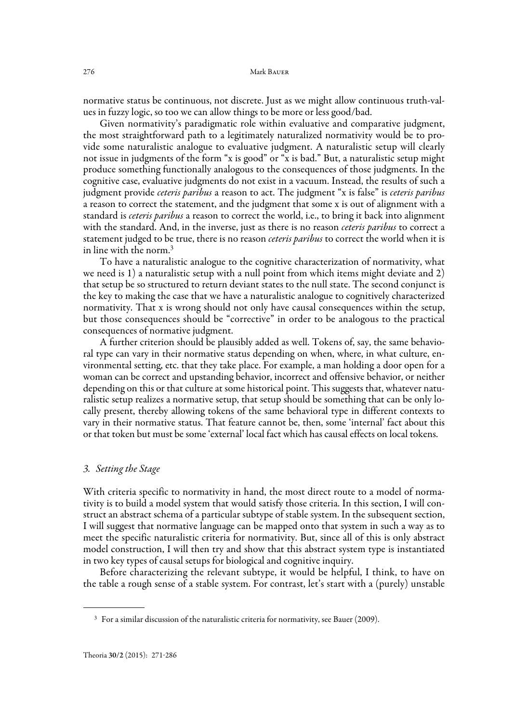normative status be continuous, not discrete. Just as we might allow continuous truth-values in fuzzy logic, so too we can allow things to be more or less good/bad.

Given normativity's paradigmatic role within evaluative and comparative judgment, the most straightforward path to a legitimately naturalized normativity would be to provide some naturalistic analogue to evaluative judgment. A naturalistic setup will clearly not issue in judgments of the form "x is good" or "x is bad." But, a naturalistic setup might produce something functionally analogous to the consequences of those judgments. In the cognitive case, evaluative judgments do not exist in a vacuum. Instead, the results of such a judgment provide *ceteris paribus* a reason to act. The judgment "x is false" is *ceteris paribus* a reason to correct the statement, and the judgment that some x is out of alignment with a standard is *ceteris paribus* a reason to correct the world, i.e., to bring it back into alignment with the standard. And, in the inverse, just as there is no reason ceteris paribus to correct a statement judged to be true, there is no reason *ceteris paribus* to correct the world when it is in line with the norm.3

To have a naturalistic analogue to the cognitive characterization of normativity, what we need is 1) a naturalistic setup with a null point from which items might deviate and 2) that setup be so structured to return deviant states to the null state. The second conjunct is the key to making the case that we have a naturalistic analogue to cognitively characterized normativity. That x is wrong should not only have causal consequences within the setup, but those consequences should be "corrective" in order to be analogous to the practical consequences of normative judgment.

A further criterion should be plausibly added as well. Tokens of, say, the same behavioral type can vary in their normative status depending on when, where, in what culture, environmental setting, etc. that they take place. For example, a man holding a door open for a woman can be correct and upstanding behavior, incorrect and offensive behavior, or neither depending on this or that culture at some historical point. This suggests that, whatever naturalistic setup realizes a normative setup, that setup should be something that can be only locally present, thereby allowing tokens of the same behavioral type in different contexts to vary in their normative status. That feature cannot be, then, some 'internal' fact about this or that token but must be some 'external' local fact which has causal effects on local tokens.

#### 3. Setting the Stage

With criteria specific to normativity in hand, the most direct route to a model of normativity is to build a model system that would satisfy those criteria. In this section, I will construct an abstract schema of a particular subtype of stable system. In the subsequent section, I will suggest that normative language can be mapped onto that system in such a way as to meet the specific naturalistic criteria for normativity. But, since all of this is only abstract model construction, I will then try and show that this abstract system type is instantiated in two key types of causal setups for biological and cognitive inquiry.

Before characterizing the relevant subtype, it would be helpful, I think, to have on the table a rough sense of a stable system. For contrast, let's start with a (purely) unstable

<sup>&</sup>lt;sup>3</sup> For a similar discussion of the naturalistic criteria for normativity, see Bauer (2009).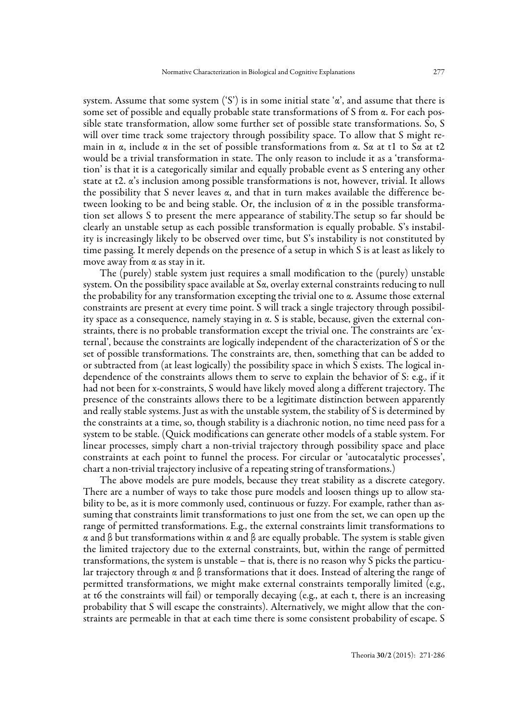system. Assume that some system ('S') is in some initial state ' $\alpha$ ', and assume that there is some set of possible and equally probable state transformations of S from α. For each possible state transformation, allow some further set of possible state transformations. So, S will over time track some trajectory through possibility space. To allow that S might remain in α, include  $\alpha$  in the set of possible transformations from α. Sα at t1 to Sα at t2 would be a trivial transformation in state. The only reason to include it as a 'transformation' is that it is a categorically similar and equally probable event as S entering any other state at t2. α's inclusion among possible transformations is not, however, trivial. It allows the possibility that S never leaves  $\alpha$ , and that in turn makes available the difference between looking to be and being stable. Or, the inclusion of  $\alpha$  in the possible transformation set allows S to present the mere appearance of stability.The setup so far should be clearly an unstable setup as each possible transformation is equally probable. S's instability is increasingly likely to be observed over time, but S's instability is not constituted by time passing. It merely depends on the presence of a setup in which S is at least as likely to move away from  $\alpha$  as stay in it.

The (purely) stable system just requires a small modification to the (purely) unstable system. On the possibility space available at  $S_{\alpha}$ , overlay external constraints reducing to null the probability for any transformation excepting the trivial one to α. Assume those external constraints are present at every time point. S will track a single trajectory through possibility space as a consequence, namely staying in α. S is stable, because, given the external constraints, there is no probable transformation except the trivial one. The constraints are 'external', because the constraints are logically independent of the characterization of S or the set of possible transformations. The constraints are, then, something that can be added to or subtracted from (at least logically) the possibility space in which S exists. The logical independence of the constraints allows them to serve to explain the behavior of S: e.g., if it had not been for x-constraints, S would have likely moved along a different trajectory. The presence of the constraints allows there to be a legitimate distinction between apparently and really stable systems. Just as with the unstable system, the stability of S is determined by the constraints at a time, so, though stability is a diachronic notion, no time need pass for a system to be stable. (Quick modifications can generate other models of a stable system. For linear processes, simply chart a non-trivial trajectory through possibility space and place constraints at each point to funnel the process. For circular or 'autocatalytic processes', chart a non-trivial trajectory inclusive of a repeating string of transformations.)

The above models are pure models, because they treat stability as a discrete category. There are a number of ways to take those pure models and loosen things up to allow stability to be, as it is more commonly used, continuous or fuzzy. For example, rather than assuming that constraints limit transformations to just one from the set, we can open up the range of permitted transformations. E.g., the external constraints limit transformations to α and β but transformations within α and β are equally probable. The system is stable given the limited trajectory due to the external constraints, but, within the range of permitted transformations, the system is unstable – that is, there is no reason why S picks the particular trajectory through  $\alpha$  and  $\beta$  transformations that it does. Instead of altering the range of permitted transformations, we might make external constraints temporally limited (e.g., at t6 the constraints will fail) or temporally decaying (e.g., at each t, there is an increasing probability that S will escape the constraints). Alternatively, we might allow that the constraints are permeable in that at each time there is some consistent probability of escape. S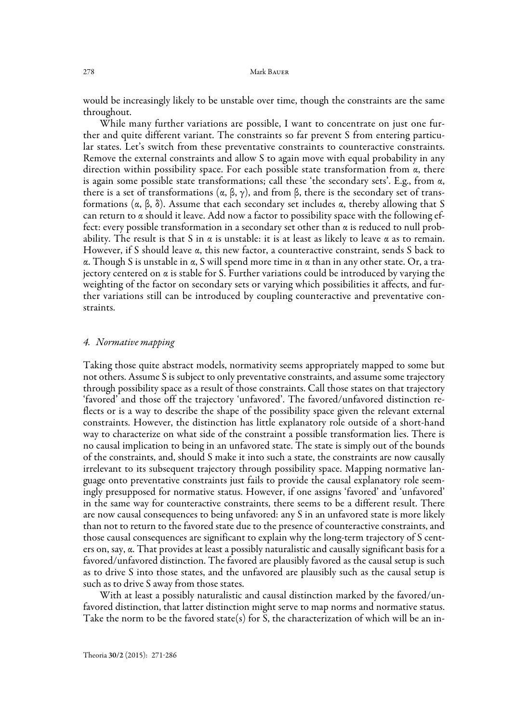would be increasingly likely to be unstable over time, though the constraints are the same throughout.

While many further variations are possible, I want to concentrate on just one further and quite different variant. The constraints so far prevent S from entering particular states. Let's switch from these preventative constraints to counteractive constraints. Remove the external constraints and allow S to again move with equal probability in any direction within possibility space. For each possible state transformation from  $\alpha$ , there is again some possible state transformations; call these 'the secondary sets'. E.g., from  $\alpha$ , there is a set of transformations (α, β, γ), and from β, there is the secondary set of transformations (α, β, δ). Assume that each secondary set includes α, thereby allowing that S can return to  $\alpha$  should it leave. Add now a factor to possibility space with the following effect: every possible transformation in a secondary set other than  $\alpha$  is reduced to null probability. The result is that S in  $\alpha$  is unstable: it is at least as likely to leave  $\alpha$  as to remain. However, if S should leave α, this new factor, a counteractive constraint, sends S back to α. Though S is unstable in α, S will spend more time in α than in any other state. Or, a trajectory centered on  $\alpha$  is stable for S. Further variations could be introduced by varying the weighting of the factor on secondary sets or varying which possibilities it affects, and further variations still can be introduced by coupling counteractive and preventative constraints.

#### 4. Normative mapping

Taking those quite abstract models, normativity seems appropriately mapped to some but not others. Assume S is subject to only preventative constraints, and assume some trajectory through possibility space as a result of those constraints. Call those states on that trajectory 'favored' and those off the trajectory 'unfavored'. The favored/unfavored distinction reflects or is a way to describe the shape of the possibility space given the relevant external constraints. However, the distinction has little explanatory role outside of a short-hand way to characterize on what side of the constraint a possible transformation lies. There is no causal implication to being in an unfavored state. The state is simply out of the bounds of the constraints, and, should S make it into such a state, the constraints are now causally irrelevant to its subsequent trajectory through possibility space. Mapping normative language onto preventative constraints just fails to provide the causal explanatory role seemingly presupposed for normative status. However, if one assigns 'favored' and 'unfavored' in the same way for counteractive constraints, there seems to be a different result. There are now causal consequences to being unfavored: any S in an unfavored state is more likely than not to return to the favored state due to the presence of counteractive constraints, and those causal consequences are significant to explain why the long-term trajectory of S centers on, say, α. That provides at least a possibly naturalistic and causally significant basis for a favored/unfavored distinction. The favored are plausibly favored as the causal setup is such as to drive S into those states, and the unfavored are plausibly such as the causal setup is such as to drive S away from those states.

With at least a possibly naturalistic and causal distinction marked by the favored/unfavored distinction, that latter distinction might serve to map norms and normative status. Take the norm to be the favored state(s) for S, the characterization of which will be an in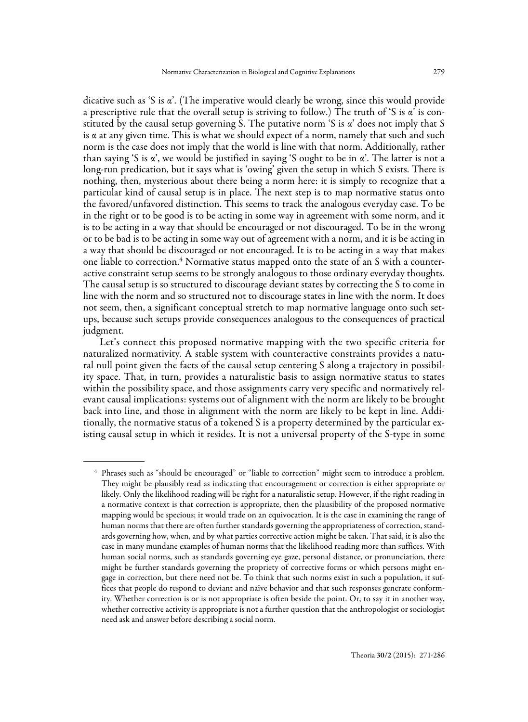dicative such as 'S is α'. (The imperative would clearly be wrong, since this would provide a prescriptive rule that the overall setup is striving to follow.) The truth of 'S is  $\alpha$ ' is constituted by the causal setup governing S. The putative norm 'S is α' does not imply that S is α at any given time. This is what we should expect of a norm, namely that such and such norm is the case does not imply that the world is line with that norm. Additionally, rather than saying 'S is  $\alpha$ ', we would be justified in saying 'S ought to be in  $\alpha$ '. The latter is not a long-run predication, but it says what is 'owing' given the setup in which S exists. There is nothing, then, mysterious about there being a norm here: it is simply to recognize that a particular kind of causal setup is in place. The next step is to map normative status onto the favored/unfavored distinction. This seems to track the analogous everyday case. To be in the right or to be good is to be acting in some way in agreement with some norm, and it is to be acting in a way that should be encouraged or not discouraged. To be in the wrong or to be bad is to be acting in some way out of agreement with a norm, and it is be acting in a way that should be discouraged or not encouraged. It is to be acting in a way that makes one liable to correction.4 Normative status mapped onto the state of an S with a counteractive constraint setup seems to be strongly analogous to those ordinary everyday thoughts. The causal setup is so structured to discourage deviant states by correcting the S to come in line with the norm and so structured not to discourage states in line with the norm. It does not seem, then, a significant conceptual stretch to map normative language onto such setups, because such setups provide consequences analogous to the consequences of practical judgment.

Let's connect this proposed normative mapping with the two specific criteria for naturalized normativity. A stable system with counteractive constraints provides a natural null point given the facts of the causal setup centering S along a trajectory in possibility space. That, in turn, provides a naturalistic basis to assign normative status to states within the possibility space, and those assignments carry very specific and normatively relevant causal implications: systems out of alignment with the norm are likely to be brought back into line, and those in alignment with the norm are likely to be kept in line. Additionally, the normative status of a tokened S is a property determined by the particular existing causal setup in which it resides. It is not a universal property of the S-type in some

<sup>4</sup> Phrases such as "should be encouraged" or "liable to correction" might seem to introduce a problem. They might be plausibly read as indicating that encouragement or correction is either appropriate or likely. Only the likelihood reading will be right for a naturalistic setup. However, if the right reading in a normative context is that correction is appropriate, then the plausibility of the proposed normative mapping would be specious; it would trade on an equivocation. It is the case in examining the range of human norms that there are often further standards governing the appropriateness of correction, standards governing how, when, and by what parties corrective action might be taken. That said, it is also the case in many mundane examples of human norms that the likelihood reading more than suffices. With human social norms, such as standards governing eye gaze, personal distance, or pronunciation, there might be further standards governing the propriety of corrective forms or which persons might engage in correction, but there need not be. To think that such norms exist in such a population, it suffices that people do respond to deviant and naïve behavior and that such responses generate conformity. Whether correction is or is not appropriate is often beside the point. Or, to say it in another way, whether corrective activity is appropriate is not a further question that the anthropologist or sociologist need ask and answer before describing a social norm.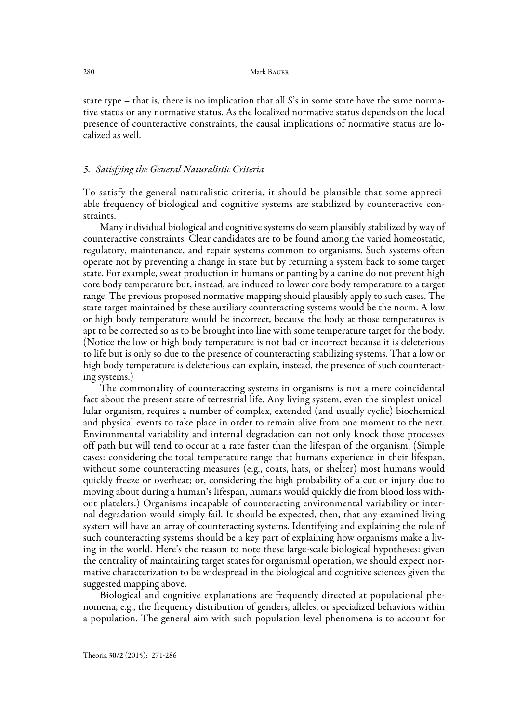state type – that is, there is no implication that all  $S$ 's in some state have the same normative status or any normative status. As the localized normative status depends on the local presence of counteractive constraints, the causal implications of normative status are localized as well.

## 5. Satisfying the General Naturalistic Criteria

To satisfy the general naturalistic criteria, it should be plausible that some appreciable frequency of biological and cognitive systems are stabilized by counteractive constraints.

Many individual biological and cognitive systems do seem plausibly stabilized by way of counteractive constraints. Clear candidates are to be found among the varied homeostatic, regulatory, maintenance, and repair systems common to organisms. Such systems often operate not by preventing a change in state but by returning a system back to some target state. For example, sweat production in humans or panting by a canine do not prevent high core body temperature but, instead, are induced to lower core body temperature to a target range. The previous proposed normative mapping should plausibly apply to such cases. The state target maintained by these auxiliary counteracting systems would be the norm. A low or high body temperature would be incorrect, because the body at those temperatures is apt to be corrected so as to be brought into line with some temperature target for the body. (Notice the low or high body temperature is not bad or incorrect because it is deleterious to life but is only so due to the presence of counteracting stabilizing systems. That a low or high body temperature is deleterious can explain, instead, the presence of such counteracting systems.)

The commonality of counteracting systems in organisms is not a mere coincidental fact about the present state of terrestrial life. Any living system, even the simplest unicellular organism, requires a number of complex, extended (and usually cyclic) biochemical and physical events to take place in order to remain alive from one moment to the next. Environmental variability and internal degradation can not only knock those processes off path but will tend to occur at a rate faster than the lifespan of the organism. (Simple cases: considering the total temperature range that humans experience in their lifespan, without some counteracting measures (e.g., coats, hats, or shelter) most humans would quickly freeze or overheat; or, considering the high probability of a cut or injury due to moving about during a human's lifespan, humans would quickly die from blood loss without platelets.) Organisms incapable of counteracting environmental variability or internal degradation would simply fail. It should be expected, then, that any examined living system will have an array of counteracting systems. Identifying and explaining the role of such counteracting systems should be a key part of explaining how organisms make a living in the world. Here's the reason to note these large-scale biological hypotheses: given the centrality of maintaining target states for organismal operation, we should expect normative characterization to be widespread in the biological and cognitive sciences given the suggested mapping above.

Biological and cognitive explanations are frequently directed at populational phenomena, e.g., the frequency distribution of genders, alleles, or specialized behaviors within a population. The general aim with such population level phenomena is to account for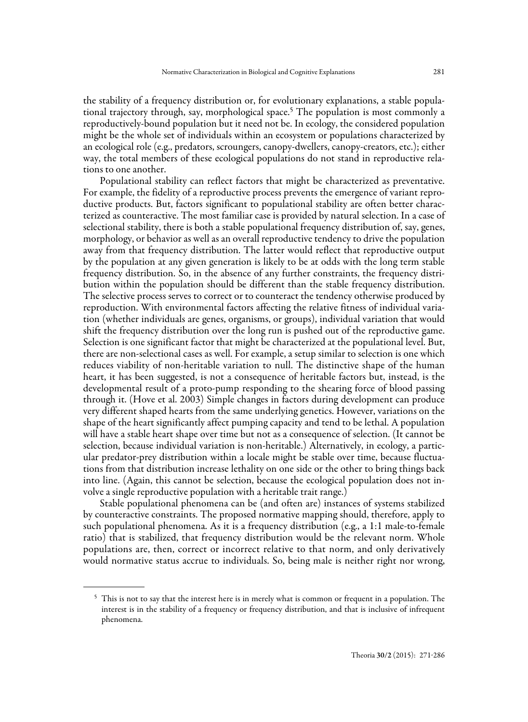the stability of a frequency distribution or, for evolutionary explanations, a stable populational trajectory through, say, morphological space.5 The population is most commonly a reproductively-bound population but it need not be. In ecology, the considered population might be the whole set of individuals within an ecosystem or populations characterized by an ecological role (e.g., predators, scroungers, canopy-dwellers, canopy-creators, etc.); either way, the total members of these ecological populations do not stand in reproductive relations to one another.

Populational stability can reflect factors that might be characterized as preventative. For example, the fidelity of a reproductive process prevents the emergence of variant reproductive products. But, factors significant to populational stability are often better characterized as counteractive. The most familiar case is provided by natural selection. In a case of selectional stability, there is both a stable populational frequency distribution of, say, genes, morphology, or behavior as well as an overall reproductive tendency to drive the population away from that frequency distribution. The latter would reflect that reproductive output by the population at any given generation is likely to be at odds with the long term stable frequency distribution. So, in the absence of any further constraints, the frequency distribution within the population should be different than the stable frequency distribution. The selective process serves to correct or to counteract the tendency otherwise produced by reproduction. With environmental factors affecting the relative fitness of individual variation (whether individuals are genes, organisms, or groups), individual variation that would shift the frequency distribution over the long run is pushed out of the reproductive game. Selection is one significant factor that might be characterized at the populational level. But, there are non-selectional cases as well. For example, a setup similar to selection is one which reduces viability of non-heritable variation to null. The distinctive shape of the human heart, it has been suggested, is not a consequence of heritable factors but, instead, is the developmental result of a proto-pump responding to the shearing force of blood passing through it. (Hove et al. 2003) Simple changes in factors during development can produce very different shaped hearts from the same underlying genetics. However, variations on the shape of the heart significantly affect pumping capacity and tend to be lethal. A population will have a stable heart shape over time but not as a consequence of selection. (It cannot be selection, because individual variation is non-heritable.) Alternatively, in ecology, a particular predator-prey distribution within a locale might be stable over time, because fluctuations from that distribution increase lethality on one side or the other to bring things back into line. (Again, this cannot be selection, because the ecological population does not involve a single reproductive population with a heritable trait range.)

Stable populational phenomena can be (and often are) instances of systems stabilized by counteractive constraints. The proposed normative mapping should, therefore, apply to such populational phenomena. As it is a frequency distribution (e.g., a 1:1 male-to-female ratio) that is stabilized, that frequency distribution would be the relevant norm. Whole populations are, then, correct or incorrect relative to that norm, and only derivatively would normative status accrue to individuals. So, being male is neither right nor wrong,

<sup>&</sup>lt;sup>5</sup> This is not to say that the interest here is in merely what is common or frequent in a population. The interest is in the stability of a frequency or frequency distribution, and that is inclusive of infrequent phenomena.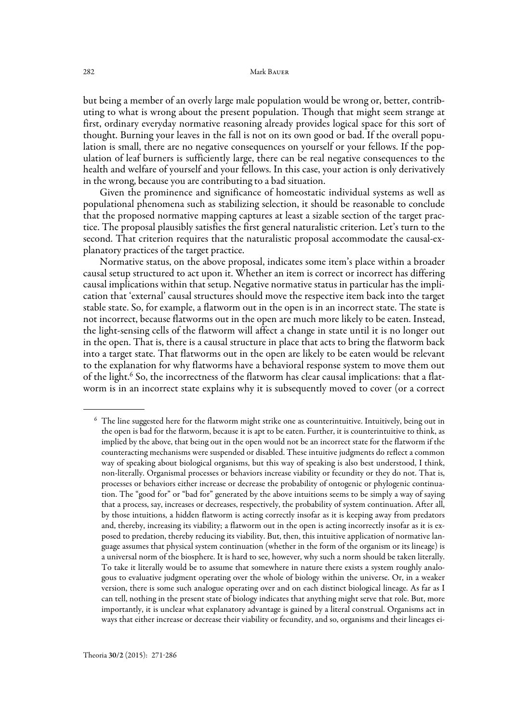but being a member of an overly large male population would be wrong or, better, contributing to what is wrong about the present population. Though that might seem strange at first, ordinary everyday normative reasoning already provides logical space for this sort of thought. Burning your leaves in the fall is not on its own good or bad. If the overall population is small, there are no negative consequences on yourself or your fellows. If the population of leaf burners is sufficiently large, there can be real negative consequences to the health and welfare of yourself and your fellows. In this case, your action is only derivatively in the wrong, because you are contributing to a bad situation.

Given the prominence and significance of homeostatic individual systems as well as populational phenomena such as stabilizing selection, it should be reasonable to conclude that the proposed normative mapping captures at least a sizable section of the target practice. The proposal plausibly satisfies the first general naturalistic criterion. Let's turn to the second. That criterion requires that the naturalistic proposal accommodate the causal-explanatory practices of the target practice.

Normative status, on the above proposal, indicates some item's place within a broader causal setup structured to act upon it. Whether an item is correct or incorrect has differing causal implications within that setup. Negative normative status in particular has the implication that 'external' causal structures should move the respective item back into the target stable state. So, for example, a flatworm out in the open is in an incorrect state. The state is not incorrect, because flatworms out in the open are much more likely to be eaten. Instead, the light-sensing cells of the flatworm will affect a change in state until it is no longer out in the open. That is, there is a causal structure in place that acts to bring the flatworm back into a target state. That flatworms out in the open are likely to be eaten would be relevant to the explanation for why flatworms have a behavioral response system to move them out of the light.6 So, the incorrectness of the flatworm has clear causal implications: that a flatworm is in an incorrect state explains why it is subsequently moved to cover (or a correct

<sup>6</sup> The line suggested here for the flatworm might strike one as counterintuitive. Intuitively, being out in the open is bad for the flatworm, because it is apt to be eaten. Further, it is counterintuitive to think, as implied by the above, that being out in the open would not be an incorrect state for the flatworm if the counteracting mechanisms were suspended or disabled. These intuitive judgments do reflect a common way of speaking about biological organisms, but this way of speaking is also best understood, I think, non-literally. Organismal processes or behaviors increase viability or fecundity or they do not. That is, processes or behaviors either increase or decrease the probability of ontogenic or phylogenic continuation. The "good for" or "bad for" generated by the above intuitions seems to be simply a way of saying that a process, say, increases or decreases, respectively, the probability of system continuation. After all, by those intuitions, a hidden flatworm is acting correctly insofar as it is keeping away from predators and, thereby, increasing its viability; a flatworm out in the open is acting incorrectly insofar as it is exposed to predation, thereby reducing its viability. But, then, this intuitive application of normative language assumes that physical system continuation (whether in the form of the organism or its lineage) is a universal norm of the biosphere. It is hard to see, however, why such a norm should be taken literally. To take it literally would be to assume that somewhere in nature there exists a system roughly analogous to evaluative judgment operating over the whole of biology within the universe. Or, in a weaker version, there is some such analogue operating over and on each distinct biological lineage. As far as I can tell, nothing in the present state of biology indicates that anything might serve that role. But, more importantly, it is unclear what explanatory advantage is gained by a literal construal. Organisms act in ways that either increase or decrease their viability or fecundity, and so, organisms and their lineages ei-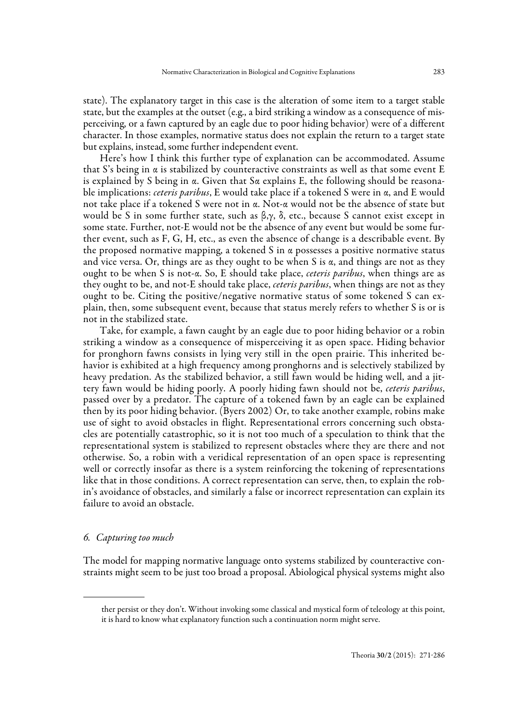state). The explanatory target in this case is the alteration of some item to a target stable state, but the examples at the outset (e.g., a bird striking a window as a consequence of misperceiving, or a fawn captured by an eagle due to poor hiding behavior) were of a different character. In those examples, normative status does not explain the return to a target state but explains, instead, some further independent event.

Here's how I think this further type of explanation can be accommodated. Assume that S's being in  $\alpha$  is stabilized by counteractive constraints as well as that some event E is explained by S being in  $\alpha$ . Given that S $\alpha$  explains E, the following should be reasonable implications: *ceteris paribus*, E would take place if a tokened S were in  $\alpha$ , and E would not take place if a tokened S were not in α. Not-α would not be the absence of state but would be S in some further state, such as  $\beta, \gamma, \delta$ , etc., because S cannot exist except in some state. Further, not-E would not be the absence of any event but would be some further event, such as F, G, H, etc., as even the absence of change is a describable event. By the proposed normative mapping, a tokened S in  $\alpha$  possesses a positive normative status and vice versa. Or, things are as they ought to be when S is  $\alpha$ , and things are not as they ought to be when S is not-α. So, E should take place, ceteris paribus, when things are as they ought to be, and not-E should take place, *ceteris paribus*, when things are not as they ought to be. Citing the positive/negative normative status of some tokened S can explain, then, some subsequent event, because that status merely refers to whether S is or is not in the stabilized state.

Take, for example, a fawn caught by an eagle due to poor hiding behavior or a robin striking a window as a consequence of misperceiving it as open space. Hiding behavior for pronghorn fawns consists in lying very still in the open prairie. This inherited behavior is exhibited at a high frequency among pronghorns and is selectively stabilized by heavy predation. As the stabilized behavior, a still fawn would be hiding well, and a jittery fawn would be hiding poorly. A poorly hiding fawn should not be, ceteris paribus, passed over by a predator. The capture of a tokened fawn by an eagle can be explained then by its poor hiding behavior. (Byers 2002) Or, to take another example, robins make use of sight to avoid obstacles in flight. Representational errors concerning such obstacles are potentially catastrophic, so it is not too much of a speculation to think that the representational system is stabilized to represent obstacles where they are there and not otherwise. So, a robin with a veridical representation of an open space is representing well or correctly insofar as there is a system reinforcing the tokening of representations like that in those conditions. A correct representation can serve, then, to explain the robin's avoidance of obstacles, and similarly a false or incorrect representation can explain its failure to avoid an obstacle.

#### 6. Capturing too much

The model for mapping normative language onto systems stabilized by counteractive constraints might seem to be just too broad a proposal. Abiological physical systems might also

ther persist or they don't. Without invoking some classical and mystical form of teleology at this point, it is hard to know what explanatory function such a continuation norm might serve.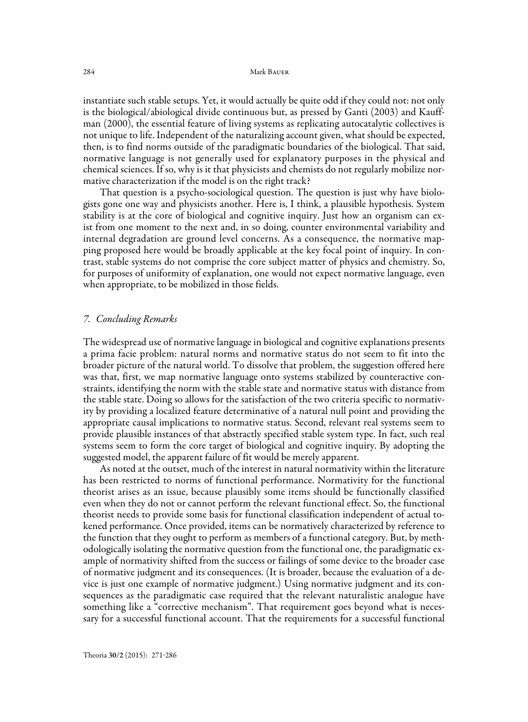instantiate such stable setups. Yet, it would actually be quite odd if they could not: not only is the biological/abiological divide continuous but, as pressed by Ganti (2003) and Kauffman (2000), the essential feature of living systems as replicating autocatalytic collectives is not unique to life. Independent of the naturalizing account given, what should be expected, then, is to find norms outside of the paradigmatic boundaries of the biological. That said, normative language is not generally used for explanatory purposes in the physical and chemical sciences. If so, why is it that physicists and chemists do not regularly mobilize normative characterization if the model is on the right track?

That question is a psycho-sociological question. The question is just why have biologists gone one way and physicists another. Here is, I think, a plausible hypothesis. System stability is at the core of biological and cognitive inquiry. Just how an organism can exist from one moment to the next and, in so doing, counter environmental variability and internal degradation are ground level concerns. As a consequence, the normative mapping proposed here would be broadly applicable at the key focal point of inquiry. In contrast, stable systems do not comprise the core subject matter of physics and chemistry. So, for purposes of uniformity of explanation, one would not expect normative language, even when appropriate, to be mobilized in those fields.

#### 7. Concluding Remarks

The widespread use of normative language in biological and cognitive explanations presents a prima facie problem: natural norms and normative status do not seem to fit into the broader picture of the natural world. To dissolve that problem, the suggestion offered here was that, first, we map normative language onto systems stabilized by counteractive constraints, identifying the norm with the stable state and normative status with distance from the stable state. Doing so allows for the satisfaction of the two criteria specific to normativity by providing a localized feature determinative of a natural null point and providing the appropriate causal implications to normative status. Second, relevant real systems seem to provide plausible instances of that abstractly specified stable system type. In fact, such real systems seem to form the core target of biological and cognitive inquiry. By adopting the suggested model, the apparent failure of fit would be merely apparent.

As noted at the outset, much of the interest in natural normativity within the literature has been restricted to norms of functional performance. Normativity for the functional theorist arises as an issue, because plausibly some items should be functionally classified even when they do not or cannot perform the relevant functional effect. So, the functional theorist needs to provide some basis for functional classification independent of actual tokened performance. Once provided, items can be normatively characterized by reference to the function that they ought to perform as members of a functional category. But, by methodologically isolating the normative question from the functional one, the paradigmatic example of normativity shifted from the success or failings of some device to the broader case of normative judgment and its consequences. (It is broader, because the evaluation of a device is just one example of normative judgment.) Using normative judgment and its consequences as the paradigmatic case required that the relevant naturalistic analogue have something like a "corrective mechanism". That requirement goes beyond what is necessary for a successful functional account. That the requirements for a successful functional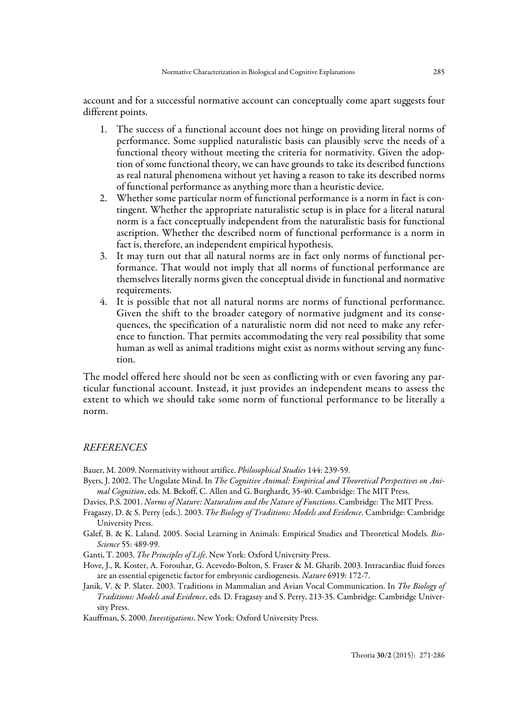account and for a successful normative account can conceptually come apart suggests four different points.

- 1. The success of a functional account does not hinge on providing literal norms of performance. Some supplied naturalistic basis can plausibly serve the needs of a functional theory without meeting the criteria for normativity. Given the adoption of some functional theory, we can have grounds to take its described functions as real natural phenomena without yet having a reason to take its described norms of functional performance as anything more than a heuristic device.
- 2. Whether some particular norm of functional performance is a norm in fact is contingent. Whether the appropriate naturalistic setup is in place for a literal natural norm is a fact conceptually independent from the naturalistic basis for functional ascription. Whether the described norm of functional performance is a norm in fact is, therefore, an independent empirical hypothesis.
- 3. It may turn out that all natural norms are in fact only norms of functional performance. That would not imply that all norms of functional performance are themselves literally norms given the conceptual divide in functional and normative requirements.
- 4. It is possible that not all natural norms are norms of functional performance. Given the shift to the broader category of normative judgment and its consequences, the specification of a naturalistic norm did not need to make any reference to function. That permits accommodating the very real possibility that some human as well as animal traditions might exist as norms without serving any function.

The model offered here should not be seen as conflicting with or even favoring any particular functional account. Instead, it just provides an independent means to assess the extent to which we should take some norm of functional performance to be literally a norm.

## REFERENCES

Bauer, M. 2009. Normativity without artifice. Philosophical Studies 144: 239-59.

- Byers, J. 2002. The Ungulate Mind. In The Cognitive Animal: Empirical and Theoretical Perspectives on Animal Cognition, eds. M. Bekoff, C. Allen and G. Burghardt, 35-40. Cambridge: The MIT Press.
- Davies, P.S. 2001. Norms of Nature: Naturalism and the Nature of Functions. Cambridge: The MIT Press.
- Fragaszy, D. & S. Perry (eds.). 2003. The Biology of Traditions: Models and Evidence. Cambridge: Cambridge University Press.
- Galef, B. & K. Laland. 2005. Social Learning in Animals: Empirical Studies and Theoretical Models. Bio-Science 55: 489-99.
- Ganti, T. 2003. The Principles of Life. New York: Oxford University Press.
- Hove, J., R. Koster, A. Forouhar, G. Acevedo-Bolton, S. Fraser & M. Gharib. 2003. Intracardiac fluid forces are an essential epigenetic factor for embryonic cardiogenesis. Nature 6919: 172-7.
- Janik, V. & P. Slater. 2003. Traditions in Mammalian and Avian Vocal Communication. In The Biology of Traditions: Models and Evidence, eds. D. Fragaszy and S. Perry, 213-35. Cambridge: Cambridge University Press.

Kauffman, S. 2000. Investigations. New York: Oxford University Press.